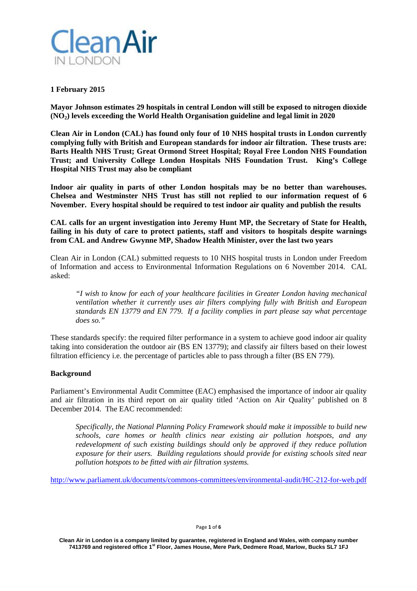

## **1 February 2015**

**Mayor Johnson estimates 29 hospitals in central London will still be exposed to nitrogen dioxide (NO2) levels exceeding the World Health Organisation guideline and legal limit in 2020** 

**Clean Air in London (CAL) has found only four of 10 NHS hospital trusts in London currently complying fully with British and European standards for indoor air filtration. These trusts are: Barts Health NHS Trust; Great Ormond Street Hospital; Royal Free London NHS Foundation Trust; and University College London Hospitals NHS Foundation Trust. King's College Hospital NHS Trust may also be compliant** 

**Indoor air quality in parts of other London hospitals may be no better than warehouses. Chelsea and Westminster NHS Trust has still not replied to our information request of 6 November. Every hospital should be required to test indoor air quality and publish the results** 

**CAL calls for an urgent investigation into Jeremy Hunt MP, the Secretary of State for Health, failing in his duty of care to protect patients, staff and visitors to hospitals despite warnings from CAL and Andrew Gwynne MP, Shadow Health Minister, over the last two years**

Clean Air in London (CAL) submitted requests to 10 NHS hospital trusts in London under Freedom of Information and access to Environmental Information Regulations on 6 November 2014. CAL asked:

*"I wish to know for each of your healthcare facilities in Greater London having mechanical ventilation whether it currently uses air filters complying fully with British and European standards EN 13779 and EN 779. If a facility complies in part please say what percentage does so."* 

These standards specify: the required filter performance in a system to achieve good indoor air quality taking into consideration the outdoor air (BS EN 13779); and classify air filters based on their lowest filtration efficiency i.e. the percentage of particles able to pass through a filter (BS EN 779).

## **Background**

Parliament's Environmental Audit Committee (EAC) emphasised the importance of indoor air quality and air filtration in its third report on air quality titled 'Action on Air Quality' published on 8 December 2014. The EAC recommended:

*Specifically, the National Planning Policy Framework should make it impossible to build new schools, care homes or health clinics near existing air pollution hotspots, and any redevelopment of such existing buildings should only be approved if they reduce pollution exposure for their users. Building regulations should provide for existing schools sited near pollution hotspots to be fitted with air filtration systems.*

http://www.parliament.uk/documents/commons-committees/environmental-audit/HC-212-for-web.pdf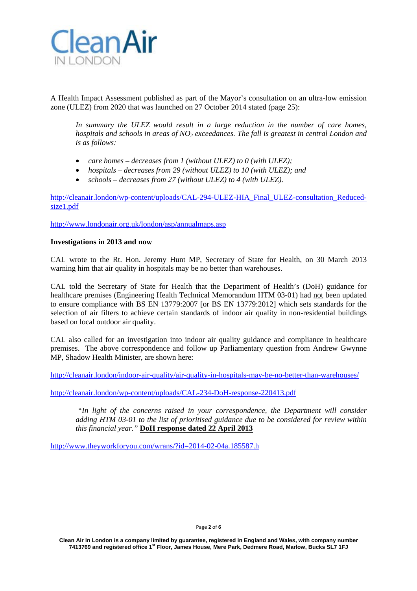

A Health Impact Assessment published as part of the Mayor's consultation on an ultra-low emission zone (ULEZ) from 2020 that was launched on 27 October 2014 stated (page 25):

*In summary the ULEZ would result in a large reduction in the number of care homes, hospitals and schools in areas of NO<sub>2</sub> exceedances. The fall is greatest in central London and is as follows:* 

- *care homes decreases from 1 (without ULEZ) to 0 (with ULEZ);*
- *hospitals decreases from 29 (without ULEZ) to 10 (with ULEZ); and*
- *schools decreases from 27 (without ULEZ) to 4 (with ULEZ).*

http://cleanair.london/wp-content/uploads/CAL-294-ULEZ-HIA\_Final\_ULEZ-consultation\_Reducedsize1.pdf

http://www.londonair.org.uk/london/asp/annualmaps.asp

### **Investigations in 2013 and now**

CAL wrote to the Rt. Hon. Jeremy Hunt MP, Secretary of State for Health, on 30 March 2013 warning him that air quality in hospitals may be no better than warehouses.

CAL told the Secretary of State for Health that the Department of Health's (DoH) guidance for healthcare premises (Engineering Health Technical Memorandum HTM 03-01) had not been updated to ensure compliance with BS EN 13779:2007 [or BS EN 13779:2012] which sets standards for the selection of air filters to achieve certain standards of indoor air quality in non-residential buildings based on local outdoor air quality.

CAL also called for an investigation into indoor air quality guidance and compliance in healthcare premises. The above correspondence and follow up Parliamentary question from Andrew Gwynne MP, Shadow Health Minister, are shown here:

http://cleanair.london/indoor-air-quality/air-quality-in-hospitals-may-be-no-better-than-warehouses/

http://cleanair.london/wp-content/uploads/CAL-234-DoH-response-220413.pdf

 *"In light of the concerns raised in your correspondence, the Department will consider adding HTM 03-01 to the list of prioritised guidance due to be considered for review within this financial year."* **DoH response dated 22 April 2013**

http://www.theyworkforyou.com/wrans/?id=2014-02-04a.185587.h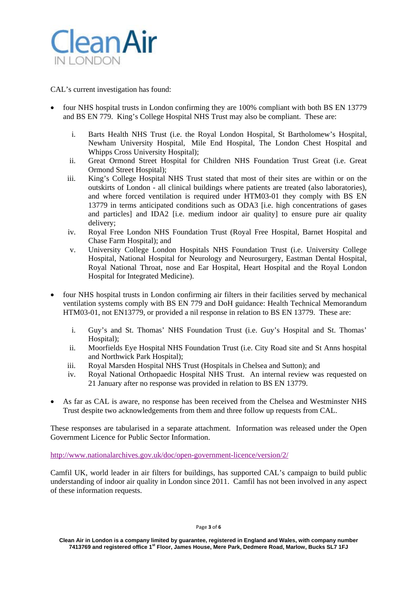

CAL's current investigation has found:

- four NHS hospital trusts in London confirming they are 100% compliant with both BS EN 13779 and BS EN 779. King's College Hospital NHS Trust may also be compliant. These are:
	- i. Barts Health NHS Trust (i.e. the Royal London Hospital, St Bartholomew's Hospital, Newham University Hospital, Mile End Hospital, The London Chest Hospital and Whipps Cross University Hospital);
	- ii. Great Ormond Street Hospital for Children NHS Foundation Trust Great (i.e. Great Ormond Street Hospital);
	- iii. King's College Hospital NHS Trust stated that most of their sites are within or on the outskirts of London - all clinical buildings where patients are treated (also laboratories), and where forced ventilation is required under HTM03-01 they comply with BS EN 13779 in terms anticipated conditions such as ODA3 [i.e. high concentrations of gases and particles] and IDA2 [i.e. medium indoor air quality] to ensure pure air quality delivery;
	- iv. Royal Free London NHS Foundation Trust (Royal Free Hospital, Barnet Hospital and Chase Farm Hospital); and
	- v. University College London Hospitals NHS Foundation Trust (i.e. University College Hospital, National Hospital for Neurology and Neurosurgery, Eastman Dental Hospital, Royal National Throat, nose and Ear Hospital, Heart Hospital and the Royal London Hospital for Integrated Medicine).
- four NHS hospital trusts in London confirming air filters in their facilities served by mechanical ventilation systems comply with BS EN 779 and DoH guidance: Health Technical Memorandum HTM03-01, not EN13779, or provided a nil response in relation to BS EN 13779. These are:
	- i. Guy's and St. Thomas' NHS Foundation Trust (i.e. Guy's Hospital and St. Thomas' Hospital);
	- ii. Moorfields Eye Hospital NHS Foundation Trust (i.e. City Road site and St Anns hospital and Northwick Park Hospital);
	- iii. Royal Marsden Hospital NHS Trust (Hospitals in Chelsea and Sutton); and
	- iv. Royal National Orthopaedic Hospital NHS Trust. An internal review was requested on 21 January after no response was provided in relation to BS EN 13779.
- As far as CAL is aware, no response has been received from the Chelsea and Westminster NHS Trust despite two acknowledgements from them and three follow up requests from CAL.

These responses are tabularised in a separate attachment. Information was released under the Open Government Licence for Public Sector Information.

http://www.nationalarchives.gov.uk/doc/open-government-licence/version/2/

Camfil UK, world leader in air filters for buildings, has supported CAL's campaign to build public understanding of indoor air quality in London since 2011. Camfil has not been involved in any aspect of these information requests.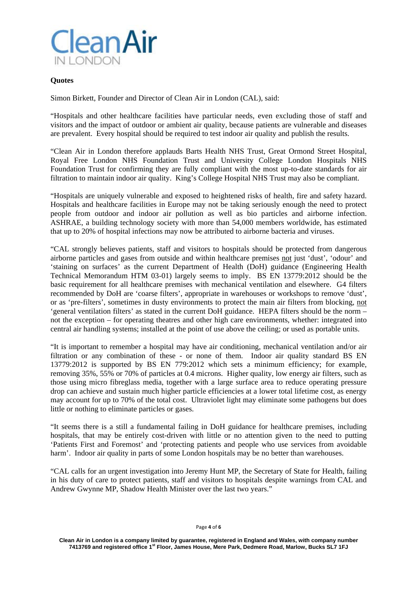

# **Quotes**

Simon Birkett, Founder and Director of Clean Air in London (CAL), said:

"Hospitals and other healthcare facilities have particular needs, even excluding those of staff and visitors and the impact of outdoor or ambient air quality, because patients are vulnerable and diseases are prevalent. Every hospital should be required to test indoor air quality and publish the results.

"Clean Air in London therefore applauds Barts Health NHS Trust, Great Ormond Street Hospital, Royal Free London NHS Foundation Trust and University College London Hospitals NHS Foundation Trust for confirming they are fully compliant with the most up-to-date standards for air filtration to maintain indoor air quality. King's College Hospital NHS Trust may also be compliant.

"Hospitals are uniquely vulnerable and exposed to heightened risks of health, fire and safety hazard. Hospitals and healthcare facilities in Europe may not be taking seriously enough the need to protect people from outdoor and indoor air pollution as well as bio particles and airborne infection. ASHRAE, a building technology society with more than 54,000 members worldwide, has estimated that up to 20% of hospital infections may now be attributed to airborne bacteria and viruses.

"CAL strongly believes patients, staff and visitors to hospitals should be protected from dangerous airborne particles and gases from outside and within healthcare premises not just 'dust', 'odour' and 'staining on surfaces' as the current Department of Health (DoH) guidance (Engineering Health Technical Memorandum HTM 03-01) largely seems to imply. BS EN 13779:2012 should be the basic requirement for all healthcare premises with mechanical ventilation and elsewhere. G4 filters recommended by DoH are 'coarse filters', appropriate in warehouses or workshops to remove 'dust', or as 'pre-filters', sometimes in dusty environments to protect the main air filters from blocking, not 'general ventilation filters' as stated in the current DoH guidance. HEPA filters should be the norm – not the exception – for operating theatres and other high care environments, whether: integrated into central air handling systems; installed at the point of use above the ceiling; or used as portable units.

"It is important to remember a hospital may have air conditioning, mechanical ventilation and/or air filtration or any combination of these - or none of them. Indoor air quality standard BS EN 13779:2012 is supported by BS EN 779:2012 which sets a minimum efficiency; for example, removing 35%, 55% or 70% of particles at 0.4 microns. Higher quality, low energy air filters, such as those using micro fibreglass media, together with a large surface area to reduce operating pressure drop can achieve and sustain much higher particle efficiencies at a lower total lifetime cost, as energy may account for up to 70% of the total cost. Ultraviolet light may eliminate some pathogens but does little or nothing to eliminate particles or gases.

"It seems there is a still a fundamental failing in DoH guidance for healthcare premises, including hospitals, that may be entirely cost-driven with little or no attention given to the need to putting 'Patients First and Foremost' and 'protecting patients and people who use services from avoidable harm'. Indoor air quality in parts of some London hospitals may be no better than warehouses.

"CAL calls for an urgent investigation into Jeremy Hunt MP, the Secretary of State for Health, failing in his duty of care to protect patients, staff and visitors to hospitals despite warnings from CAL and Andrew Gwynne MP, Shadow Health Minister over the last two years."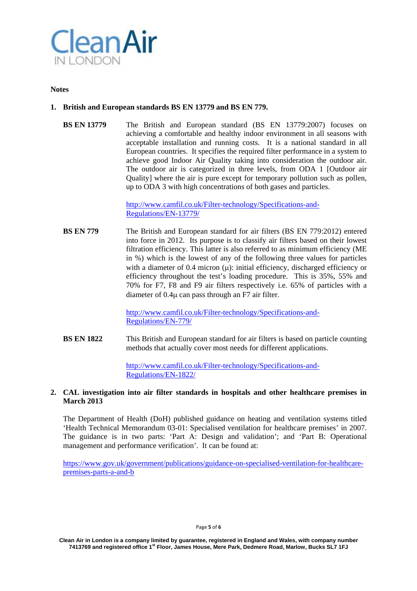

#### **Notes**

## **1. British and European standards BS EN 13779 and BS EN 779.**

**BS EN 13779** The British and European standard (BS EN 13779:2007) focuses on achieving a comfortable and healthy indoor environment in all seasons with acceptable installation and running costs. It is a national standard in all European countries. It specifies the required filter performance in a system to achieve good Indoor Air Quality taking into consideration the outdoor air. The outdoor air is categorized in three levels, from ODA 1 [Outdoor air Quality] where the air is pure except for temporary pollution such as pollen, up to ODA 3 with high concentrations of both gases and particles.

> http://www.camfil.co.uk/Filter-technology/Specifications-and-Regulations/EN-13779/

**BS EN 779** The British and European standard for air filters (BS EN 779:2012) entered into force in 2012. Its purpose is to classify air filters based on their lowest filtration efficiency. This latter is also referred to as minimum efficiency (ME in %) which is the lowest of any of the following three values for particles with a diameter of 0.4 micron  $(\mu)$ : initial efficiency, discharged efficiency or efficiency throughout the test's loading procedure. This is 35%, 55% and 70% for F7, F8 and F9 air filters respectively i.e. 65% of particles with a diameter of  $0.4\mu$  can pass through an F7 air filter.

> http://www.camfil.co.uk/Filter-technology/Specifications-and-Regulations/EN-779/

**BS EN 1822** This British and European standard for air filters is based on particle counting methods that actually cover most needs for different applications.

> http://www.camfil.co.uk/Filter-technology/Specifications-and-Regulations/EN-1822/

### **2. CAL investigation into air filter standards in hospitals and other healthcare premises in March 2013**

The Department of Health (DoH) published guidance on heating and ventilation systems titled 'Health Technical Memorandum 03-01: Specialised ventilation for healthcare premises' in 2007. The guidance is in two parts: 'Part A: Design and validation'; and 'Part B: Operational management and performance verification'. It can be found at:

https://www.gov.uk/government/publications/guidance-on-specialised-ventilation-for-healthcarepremises-parts-a-and-b